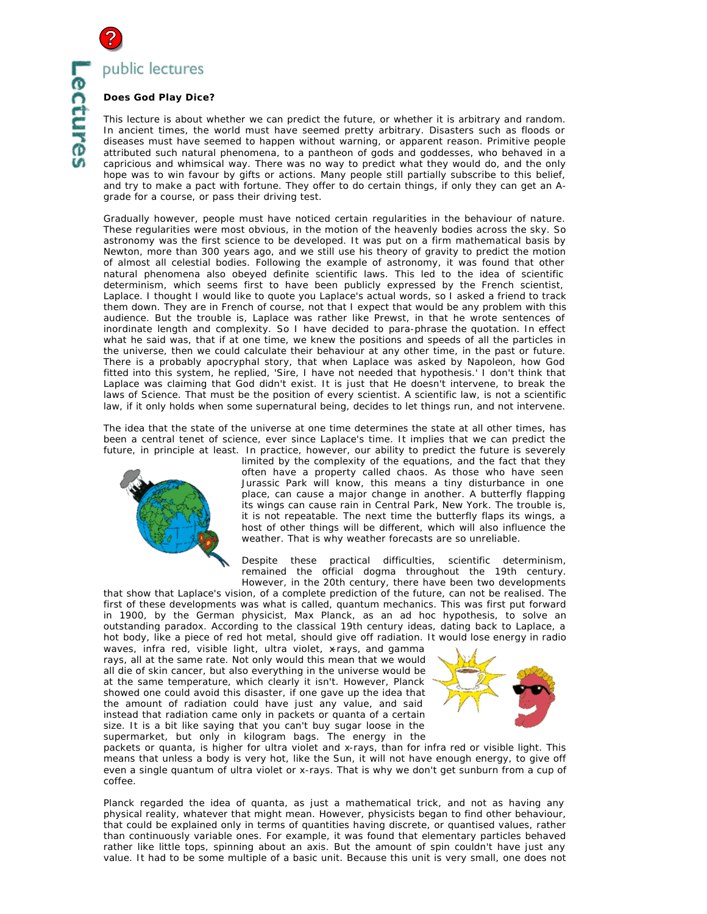

public lectures

## **Does God Play Dice?**

This lecture is about whether we can predict the future, or whether it is arbitrary and random. In ancient times, the world must have seemed pretty arbitrary. Disasters such as floods or diseases must have seemed to happen without warning, or apparent reason. Primitive people attributed such natural phenomena, to a pantheon of gods and goddesses, who behaved in a capricious and whimsical way. There was no way to predict what they would do, and the only hope was to win favour by gifts or actions. Many people still partially subscribe to this belief, and try to make a pact with fortune. They offer to do certain things, if only they can get an Agrade for a course, or pass their driving test.

Gradually however, people must have noticed certain regularities in the behaviour of nature. These regularities were most obvious, in the motion of the heavenly bodies across the sky. So astronomy was the first science to be developed. It was put on a firm mathematical basis by Newton, more than 300 years ago, and we still use his theory of gravity to predict the motion of almost all celestial bodies. Following the example of astronomy, it was found that other natural phenomena also obeyed definite scientific laws. This led to the idea of scientific determinism, which seems first to have been publicly expressed by the French scientist, Laplace. I thought I would like to quote you Laplace's actual words, so I asked a friend to track them down. They are in French of course, not that I expect that would be any problem with this audience. But the trouble is, Laplace was rather like Prewst, in that he wrote sentences of inordinate length and complexity. So I have decided to para-phrase the quotation. In effect what he said was, that if at one time, we knew the positions and speeds of all the particles in the universe, then we could calculate their behaviour at any other time, in the past or future. There is a probably apocryphal story, that when Laplace was asked by Napoleon, how God fitted into this system, he replied, 'Sire, I have not needed that hypothesis.' I don't think that Laplace was claiming that God didn't exist. It is just that He doesn't intervene, to break the laws of Science. That must be the position of every scientist. A scientific law, is not a scientific law, if it only holds when some supernatural being, decides to let things run, and not intervene.

The idea that the state of the universe at one time determines the state at all other times, has been a central tenet of science, ever since Laplace's time. It implies that we can predict the future, in principle at least. In practice, however, our ability to predict the future is severely



limited by the complexity of the equations, and the fact that they often have a property called chaos. As those who have seen Jurassic Park will know, this means a tiny disturbance in one place, can cause a major change in another. A butterfly flapping its wings can cause rain in Central Park, New York. The trouble is, it is not repeatable. The next time the butterfly flaps its wings, a host of other things will be different, which will also influence the weather. That is why weather forecasts are so unreliable.

Despite these practical difficulties, scientific determinism, remained the official dogma throughout the 19th century. However, in the 20th century, there have been two developments

that show that Laplace's vision, of a complete prediction of the future, can not be realised. The first of these developments was what is called, quantum mechanics. This was first put forward in 1900, by the German physicist, Max Planck, as an ad hoc hypothesis, to solve an outstanding paradox. According to the classical 19th century ideas, dating back to Laplace, a hot body, like a piece of red hot metal, should give off radiation. It would lose energy in radio

waves, infra red, visible light, ultra violet, x-rays, and gamma rays, all at the same rate. Not only would this mean that we would all die of skin cancer, but also everything in the universe would be at the same temperature, which clearly it isn't. However, Planck showed one could avoid this disaster, if one gave up the idea that the amount of radiation could have just any value, and said instead that radiation came only in packets or quanta of a certain size. It is a bit like saying that you can't buy sugar loose in the supermarket, but only in kilogram bags. The energy in the



packets or quanta, is higher for ultra violet and x-rays, than for infra red or visible light. This means that unless a body is very hot, like the Sun, it will not have enough energy, to give off even a single quantum of ultra violet or x-rays. That is why we don't get sunburn from a cup of coffee.

Planck regarded the idea of quanta, as just a mathematical trick, and not as having any physical reality, whatever that might mean. However, physicists began to find other behaviour, that could be explained only in terms of quantities having discrete, or quantised values, rather than continuously variable ones. For example, it was found that elementary particles behaved rather like little tops, spinning about an axis. But the amount of spin couldn't have just any value. It had to be some multiple of a basic unit. Because this unit is very small, one does not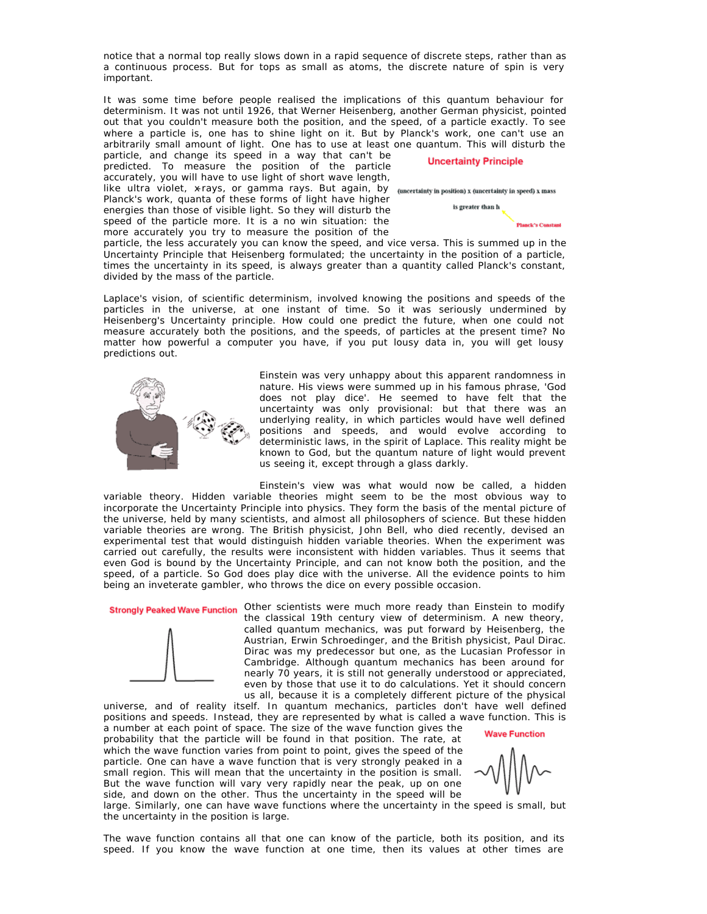notice that a normal top really slows down in a rapid sequence of discrete steps, rather than as a continuous process. But for tops as small as atoms, the discrete nature of spin is very important.

It was some time before people realised the implications of this quantum behaviour for determinism. It was not until 1926, that Werner Heisenberg, another German physicist, pointed out that you couldn't measure both the position, and the speed, of a particle exactly. To see where a particle is, one has to shine light on it. But by Planck's work, one can't use an arbitrarily small amount of light. One has to use at least one quantum. This will disturb the

particle, and change its speed in a way that can't be predicted. To measure the position of the particle accurately, you will have to use light of short wave length, like ultra violet, x-rays, or gamma rays. But again, by concertainty in position) x (uncertainty in speed) x mass

Planck's work, quanta of these forms of light have higher energies than those of visible light. So they will disturb the speed of the particle more. It is a no win situation: the more accurately you try to measure the position of the



is greater than h Planck's Constant

particle, the less accurately you can know the speed, and vice versa. This is summed up in the Uncertainty Principle that Heisenberg formulated; the uncertainty in the position of a particle, times the uncertainty in its speed, is always greater than a quantity called Planck's constant, divided by the mass of the particle.

Laplace's vision, of scientific determinism, involved knowing the positions and speeds of the particles in the universe, at one instant of time. So it was seriously undermined by Heisenberg's Uncertainty principle. How could one predict the future, when one could not measure accurately both the positions, and the speeds, of particles at the present time? No matter how powerful a computer you have, if you put lousy data in, you will get lousy predictions out.



Einstein was very unhappy about this apparent randomness in nature. His views were summed up in his famous phrase, 'God does not play dice'. He seemed to have felt that the uncertainty was only provisional: but that there was an underlying reality, in which particles would have well defined positions and speeds, and would evolve according to deterministic laws, in the spirit of Laplace. This reality might be known to God, but the quantum nature of light would prevent us seeing it, except through a glass darkly.

Einstein's view was what would now be called, a hidden variable theory. Hidden variable theories might seem to be the most obvious way to incorporate the Uncertainty Principle into physics. They form the basis of the mental picture of the universe, held by many scientists, and almost all philosophers of science. But these hidden variable theories are wrong. The British physicist, John Bell, who died recently, devised an experimental test that would distinguish hidden variable theories. When the experiment was carried out carefully, the results were inconsistent with hidden variables. Thus it seems that even God is bound by the Uncertainty Principle, and can not know both the position, and the speed, of a particle. So God does play dice with the universe. All the evidence points to him being an inveterate gambler, who throws the dice on every possible occasion.



Strongly Peaked Wave Function Other scientists were much more ready than Einstein to modify the classical 19th century view of determinism. A new theory, called quantum mechanics, was put forward by Heisenberg, the Austrian, Erwin Schroedinger, and the British physicist, Paul Dirac. Dirac was my predecessor but one, as the Lucasian Professor in Cambridge. Although quantum mechanics has been around for nearly 70 years, it is still not generally understood or appreciated, even by those that use it to do calculations. Yet it should concern us all, because it is a completely different picture of the physical

universe, and of reality itself. In quantum mechanics, particles don't have well defined positions and speeds. Instead, they are represented by what is called a wave function. This is a number at each point of space. The size of the wave function gives the **Wave Function** 

probability that the particle will be found in that position. The rate, at which the wave function varies from point to point, gives the speed of the particle. One can have a wave function that is very strongly peaked in a small region. This will mean that the uncertainty in the position is small. But the wave function will vary very rapidly near the peak, up on one side, and down on the other. Thus the uncertainty in the speed will be

large. Similarly, one can have wave functions where the uncertainty in the speed is small, but the uncertainty in the position is large.

The wave function contains all that one can know of the particle, both its position, and its speed. If you know the wave function at one time, then its values at other times are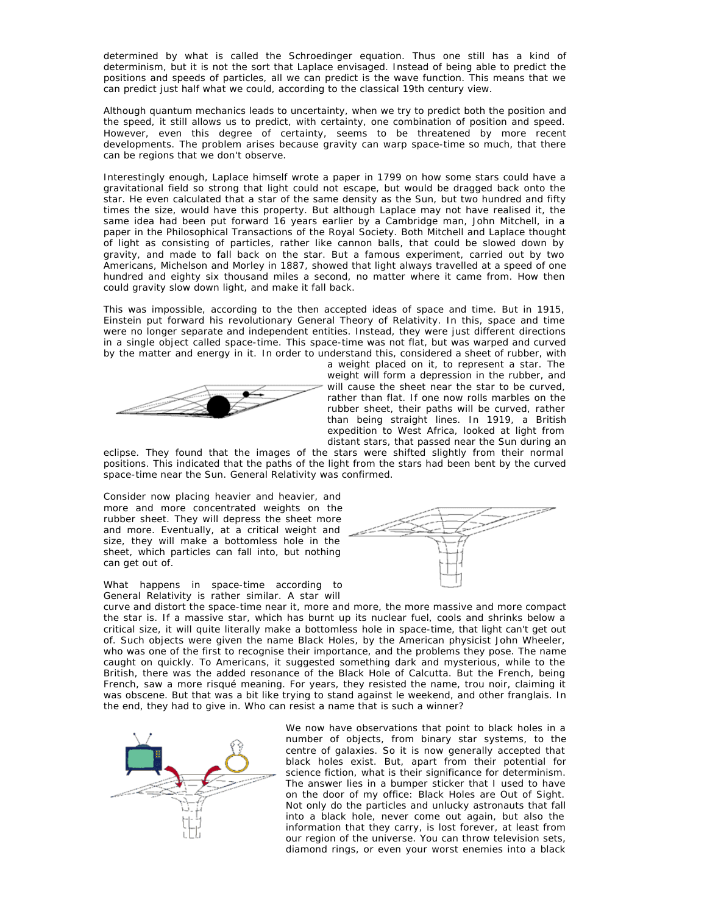determined by what is called the Schroedinger equation. Thus one still has a kind of determinism, but it is not the sort that Laplace envisaged. Instead of being able to predict the positions and speeds of particles, all we can predict is the wave function. This means that we can predict just half what we could, according to the classical 19th century view.

Although quantum mechanics leads to uncertainty, when we try to predict both the position and the speed, it still allows us to predict, with certainty, one combination of position and speed. However, even this degree of certainty, seems to be threatened by more recent developments. The problem arises because gravity can warp space-time so much, that there can be regions that we don't observe.

Interestingly enough, Laplace himself wrote a paper in 1799 on how some stars could have a gravitational field so strong that light could not escape, but would be dragged back onto the star. He even calculated that a star of the same density as the Sun, but two hundred and fifty times the size, would have this property. But although Laplace may not have realised it, the same idea had been put forward 16 years earlier by a Cambridge man, John Mitchell, in a paper in the Philosophical Transactions of the Royal Society. Both Mitchell and Laplace thought of light as consisting of particles, rather like cannon balls, that could be slowed down by gravity, and made to fall back on the star. But a famous experiment, carried out by two Americans, Michelson and Morley in 1887, showed that light always travelled at a speed of one hundred and eighty six thousand miles a second, no matter where it came from. How then could gravity slow down light, and make it fall back.

This was impossible, according to the then accepted ideas of space and time. But in 1915, Einstein put forward his revolutionary General Theory of Relativity. In this, space and time were no longer separate and independent entities. Instead, they were just different directions in a single object called space-time. This space-time was not flat, but was warped and curved by the matter and energy in it. In order to understand this, considered a sheet of rubber, with

a weight placed on it, to represent a star. The weight will form a depression in the rubber, and will cause the sheet near the star to be curved, rather than flat. If one now rolls marbles on the rubber sheet, their paths will be curved, rather than being straight lines. In 1919, a British expedition to West Africa, looked at light from distant stars, that passed near the Sun during an

eclipse. They found that the images of the stars were shifted slightly from their normal positions. This indicated that the paths of the light from the stars had been bent by the curved space-time near the Sun. General Relativity was confirmed.

Consider now placing heavier and heavier, and more and more concentrated weights on the rubber sheet. They will depress the sheet more and more. Eventually, at a critical weight and size, they will make a bottomless hole in the sheet, which particles can fall into, but nothing can get out of.

What happens in space-time according to General Relativity is rather similar. A star will



curve and distort the space-time near it, more and more, the more massive and more compact the star is. If a massive star, which has burnt up its nuclear fuel, cools and shrinks below a critical size, it will quite literally make a bottomless hole in space-time, that light can't get out of. Such objects were given the name Black Holes, by the American physicist John Wheeler, who was one of the first to recognise their importance, and the problems they pose. The name caught on quickly. To Americans, it suggested something dark and mysterious, while to the British, there was the added resonance of the Black Hole of Calcutta. But the French, being French, saw a more risqué meaning. For years, they resisted the name, trou noir, claiming it was obscene. But that was a bit like trying to stand against le weekend, and other franglais. In the end, they had to give in. Who can resist a name that is such a winner?



We now have observations that point to black holes in a number of objects, from binary star systems, to the centre of galaxies. So it is now generally accepted that black holes exist. But, apart from their potential for science fiction, what is their significance for determinism. The answer lies in a bumper sticker that I used to have on the door of my office: Black Holes are Out of Sight. Not only do the particles and unlucky astronauts that fall into a black hole, never come out again, but also the information that they carry, is lost forever, at least from our region of the universe. You can throw television sets, diamond rings, or even your worst enemies into a black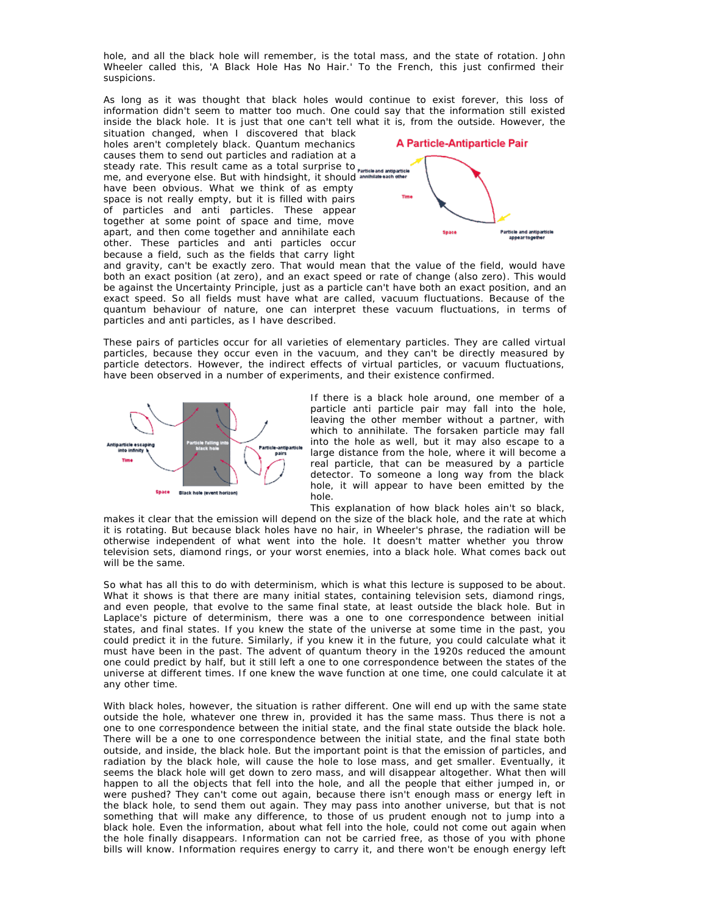hole, and all the black hole will remember, is the total mass, and the state of rotation. John Wheeler called this, 'A Black Hole Has No Hair.' To the French, this just confirmed their suspicions.

As long as it was thought that black holes would continue to exist forever, this loss of information didn't seem to matter too much. One could say that the information still existed inside the black hole. It is just that one can't tell what it is, from the outside. However, the

situation changed, when I discovered that black holes aren't completely black. Quantum mechanics causes them to send out particles and radiation at a steady rate. This result came as a total surprise to particle and me, and everyone else. But with hindsight, it should have been obvious. What we think of as empty space is not really empty, but it is filled with pairs of particles and anti particles. These appear together at some point of space and time, move apart, and then come together and annihilate each other. These particles and anti particles occur because a field, such as the fields that carry light



and gravity, can't be exactly zero. That would mean that the value of the field, would have both an exact position (at zero), and an exact speed or rate of change (also zero). This would be against the Uncertainty Principle, just as a particle can't have both an exact position, and an exact speed. So all fields must have what are called, vacuum fluctuations. Because of the quantum behaviour of nature, one can interpret these vacuum fluctuations, in terms of particles and anti particles, as I have described.

These pairs of particles occur for all varieties of elementary particles. They are called virtual particles, because they occur even in the vacuum, and they can't be directly measured by particle detectors. However, the indirect effects of virtual particles, or vacuum fluctuations, have been observed in a number of experiments, and their existence confirmed.



If there is a black hole around, one member of a particle anti particle pair may fall into the hole, leaving the other member without a partner, with which to annihilate. The forsaken particle may fall into the hole as well, but it may also escape to a large distance from the hole, where it will become a real particle, that can be measured by a particle detector. To someone a long way from the black hole, it will appear to have been emitted by the hole.

This explanation of how black holes ain't so black, makes it clear that the emission will depend on the size of the black hole, and the rate at which it is rotating. But because black holes have no hair, in Wheeler's phrase, the radiation will be otherwise independent of what went into the hole. It doesn't matter whether you throw television sets, diamond rings, or your worst enemies, into a black hole. What comes back out will be the same.

So what has all this to do with determinism, which is what this lecture is supposed to be about. What it shows is that there are many initial states, containing television sets, diamond rings, and even people, that evolve to the same final state, at least outside the black hole. But in Laplace's picture of determinism, there was a one to one correspondence between initial states, and final states. If you knew the state of the universe at some time in the past, you could predict it in the future. Similarly, if you knew it in the future, you could calculate what it must have been in the past. The advent of quantum theory in the 1920s reduced the amount one could predict by half, but it still left a one to one correspondence between the states of the universe at different times. If one knew the wave function at one time, one could calculate it at any other time.

With black holes, however, the situation is rather different. One will end up with the same state outside the hole, whatever one threw in, provided it has the same mass. Thus there is not a one to one correspondence between the initial state, and the final state outside the black hole. There will be a one to one correspondence between the initial state, and the final state both outside, and inside, the black hole. But the important point is that the emission of particles, and radiation by the black hole, will cause the hole to lose mass, and get smaller. Eventually, it seems the black hole will get down to zero mass, and will disappear altogether. What then will happen to all the objects that fell into the hole, and all the people that either jumped in, or were pushed? They can't come out again, because there isn't enough mass or energy left in the black hole, to send them out again. They may pass into another universe, but that is not something that will make any difference, to those of us prudent enough not to jump into a black hole. Even the information, about what fell into the hole, could not come out again when the hole finally disappears. Information can not be carried free, as those of you with phone bills will know. Information requires energy to carry it, and there won't be enough energy left